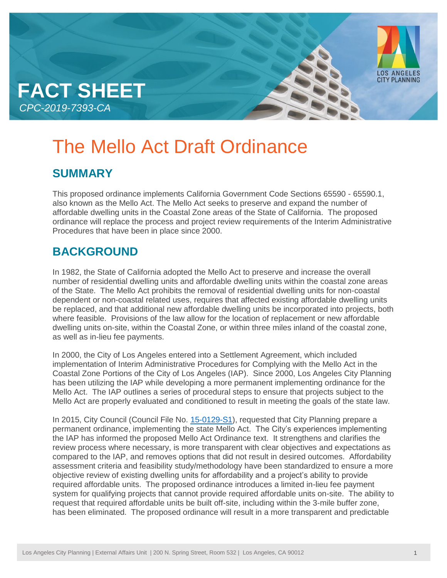



# **SUMMARY**

This proposed ordinance implements California Government Code Sections 65590 - 65590.1, also known as the Mello Act. The Mello Act seeks to preserve and expand the number of affordable dwelling units in the Coastal Zone areas of the State of California. The proposed ordinance will replace the process and project review requirements of the Interim Administrative Procedures that have been in place since 2000.

## **BACKGROUND**

In 1982, the State of California adopted the Mello Act to preserve and increase the overall number of residential dwelling units and affordable dwelling units within the coastal zone areas of the State. The Mello Act prohibits the removal of residential dwelling units for non-coastal dependent or non-coastal related uses, requires that affected existing affordable dwelling units be replaced, and that additional new affordable dwelling units be incorporated into projects, both where feasible. Provisions of the law allow for the location of replacement or new affordable dwelling units on-site, within the Coastal Zone, or within three miles inland of the coastal zone, as well as in-lieu fee payments.

In 2000, the City of Los Angeles entered into a Settlement Agreement, which included implementation of Interim Administrative Procedures for Complying with the Mello Act in the Coastal Zone Portions of the City of Los Angeles (IAP). Since 2000, Los Angeles City Planning has been utilizing the IAP while developing a more permanent implementing ordinance for the Mello Act. The IAP outlines a series of procedural steps to ensure that projects subject to the Mello Act are properly evaluated and conditioned to result in meeting the goals of the state law.

In 2015, City Council (Council File No. [15-0129-S1\)](https://cityclerk.lacity.org/lacityclerkconnect/index.cfm?fa=ccfi.viewrecord&cfnumber=15-0129-S1), requested that City Planning prepare a permanent ordinance, implementing the state Mello Act. The City's experiences implementing the IAP has informed the proposed Mello Act Ordinance text. It strengthens and clarifies the review process where necessary, is more transparent with clear objectives and expectations as compared to the IAP, and removes options that did not result in desired outcomes. Affordability assessment criteria and feasibility study/methodology have been standardized to ensure a more objective review of existing dwelling units for affordability and a project's ability to provide required affordable units. The proposed ordinance introduces a limited in-lieu fee payment system for qualifying projects that cannot provide required affordable units on-site. The ability to request that required affordable units be built off-site, including within the 3-mile buffer zone, has been eliminated. The proposed ordinance will result in a more transparent and predictable

LOS ANGELES<br>CITY PLANNING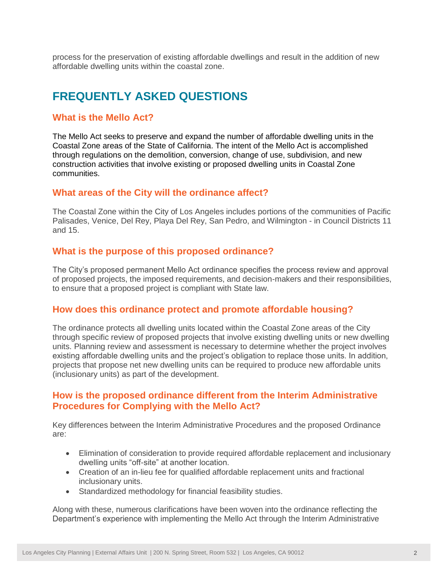process for the preservation of existing affordable dwellings and result in the addition of new affordable dwelling units within the coastal zone.

## **FREQUENTLY ASKED QUESTIONS**

### **What is the Mello Act?**

The Mello Act seeks to preserve and expand the number of affordable dwelling units in the Coastal Zone areas of the State of California. The intent of the Mello Act is accomplished through regulations on the demolition, conversion, change of use, subdivision, and new construction activities that involve existing or proposed dwelling units in Coastal Zone communities.

#### **What areas of the City will the ordinance affect?**

The Coastal Zone within the City of Los Angeles includes portions of the communities of Pacific Palisades, Venice, Del Rey, Playa Del Rey, San Pedro, and Wilmington - in Council Districts 11 and 15.

## **What is the purpose of this proposed ordinance?**

The City's proposed permanent Mello Act ordinance specifies the process review and approval of proposed projects, the imposed requirements, and decision-makers and their responsibilities, to ensure that a proposed project is compliant with State law.

#### **How does this ordinance protect and promote affordable housing?**

The ordinance protects all dwelling units located within the Coastal Zone areas of the City through specific review of proposed projects that involve existing dwelling units or new dwelling units. Planning review and assessment is necessary to determine whether the project involves existing affordable dwelling units and the project's obligation to replace those units. In addition, projects that propose net new dwelling units can be required to produce new affordable units (inclusionary units) as part of the development.

## **How is the proposed ordinance different from the Interim Administrative Procedures for Complying with the Mello Act?**

Key differences between the Interim Administrative Procedures and the proposed Ordinance are:

- Elimination of consideration to provide required affordable replacement and inclusionary dwelling units "off-site" at another location.
- Creation of an in-lieu fee for qualified affordable replacement units and fractional inclusionary units.
- Standardized methodology for financial feasibility studies.

Along with these, numerous clarifications have been woven into the ordinance reflecting the Department's experience with implementing the Mello Act through the Interim Administrative